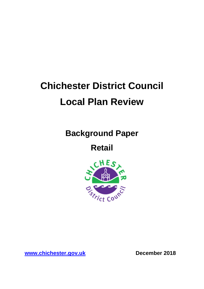# **Chichester District Council Local Plan Review**

**Background Paper**

**Retail** 



**[www.chichester.gov.uk](http://www.chichester.gov.uk/) December 2018**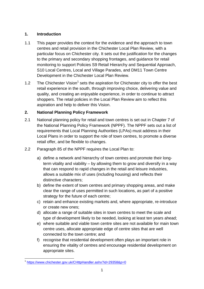## **1. Introduction**

- 1.1 This paper provides the context for the evidence and the approach to town centres and retail provision in the Chichester Local Plan Review, with a particular focus on Chichester city. It sets out the justification for the changes to the primary and secondary shopping frontages, and guidance for retail monitoring to support Policies S9 Retail Hierarchy and Sequential Approach, S10 Local Centres, Local and Village Parades, and DM11 Town Centre Development in the Chichester Local Plan Review.
- 1.2 The Chichester Vision<sup>1</sup> sets the aspiration for Chichester city to offer the best retail experience in the south, through improving choice, delivering value and quality, and creating an enjoyable experience, in order to continue to attract shoppers. The retail policies in the Local Plan Review aim to reflect this aspiration and help to deliver this Vision.

# **2. National Planning Policy Framework**

- 2.1 National planning policy for retail and town centres is set out in Chapter 7 of the National Planning Policy Framework (NPPF). The NPPF sets out a list of requirements that Local Planning Authorities (LPAs) must address in their Local Plans in order to support the role of town centres, to promote a diverse retail offer, and be flexible to changes.
- 2.2 Paragraph 85 of the NPPF requires the Local Plan to:
	- a) define a network and hierarchy of town centres and promote their longterm vitality and viability – by allowing them to grow and diversify in a way that can respond to rapid changes in the retail and leisure industries, allows a suitable mix of uses (including housing) and reflects their distinctive characters;
	- b) define the extent of town centres and primary shopping areas, and make clear the range of uses permitted in such locations, as part of a positive strategy for the future of each centre;
	- c) retain and enhance existing markets and, where appropriate, re-introduce or create new ones;
	- d) allocate a range of suitable sites in town centres to meet the scale and type of development likely to be needed, looking at least ten years ahead;
	- e) where suitable and viable town centre sites are not available for main town centre uses, allocate appropriate edge of centre sites that are well connected to the town centre; and
	- f) recognise that residential development often plays an important role in ensuring the vitality of centres and encourage residential development on appropriate sites.

 1 <https://www.chichester.gov.uk/CHttpHandler.ashx?id=29358&p=0>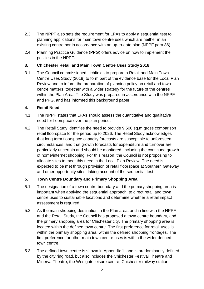- 2.3 The NPPF also sets the requirement for LPAs to apply a sequential test to planning applications for main town centre uses which are neither in an existing centre nor in accordance with an up-to-date plan (NPPF para 86).
- 2.4 Planning Practice Guidance (PPG) offers advice on how to implement the policies in the NPPF.

## **3. Chichester Retail and Main Town Centre Uses Study 2018**

3.1 The Council commissioned Lichfields to prepare a Retail and Main Town Centre Uses Study (2018) to form part of the evidence base for the Local Plan Review and to inform the preparation of planning policy on retail and town centre matters, together with a wider strategy for the future of the centres within the Plan Area. The Study was prepared in accordance with the NPPF and PPG, and has informed this background paper.

#### **4. Retail Need**

- 4.1 The NPPF states that LPAs should assess the quantitative and qualitative need for floorspace over the plan period.
- 4.2 The Retail Study identifies the need to provide 9,500 sq.m gross comparison retail floorspace for the period up to 2026. The Retail Study acknowledges that long term floorspace capacity forecasts are susceptible to unforeseen circumstances, and that growth forecasts for expenditure and turnover are particularly uncertain and should be monitored, including the continued growth of home/internet shopping. For this reason, the Council is not proposing to allocate sites to meet this need in the Local Plan Review. The need is expected to be met through provision of retail floorspace at Southern Gateway and other opportunity sites, taking account of the sequential test.

# **5. Town Centre Boundary and Primary Shopping Area**

- 5.1 The designation of a town centre boundary and the primary shopping area is important when applying the sequential approach, to direct retail and town centre uses to sustainable locations and determine whether a retail impact assessment is required.
- 5.2 As the main shopping destination in the Plan area, and in line with the NPPF and the Retail Study, the Council has proposed a town centre boundary, and the primary shopping area for Chichester city. The primary shopping area is located within the defined town centre. The first preference for retail uses is within the primary shopping area, within the defined shopping frontages. The first preference for other main town centre uses is within the wider defined town centre.
- 5.3 The defined town centre is shown in Appendix 1, and is predominantly defined by the city ring road, but also includes the Chichester Festival Theatre and Minerva Theatre, the Westgate leisure centre, Chichester railway station,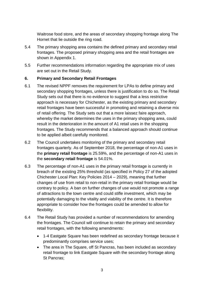Waitrose food store, and the areas of secondary shopping frontage along The Hornet that lie outside the ring road.

- 5.4 The primary shopping area contains the defined primary and secondary retail frontages. The proposed primary shopping area and the retail frontages are shown in Appendix 1.
- 5.5 Further recommendations information regarding the appropriate mix of uses are set out in the Retail Study.

### **6. Primary and Secondary Retail Frontages**

- 6.1 The revised NPPF removes the requirement for LPAs to define primary and secondary shopping frontages, unless there is justification to do so. The Retail Study sets out that there is no evidence to suggest that a less restrictive approach is necessary for Chichester, as the existing primary and secondary retail frontages have been successful in promoting and retaining a diverse mix of retail offering. The Study sets out that a more laissez faire approach, whereby the market determines the uses in the primary shopping area, could result in the deterioration in the amount of A1 retail uses in the shopping frontages. The Study recommends that a balanced approach should continue to be applied albeit carefully monitored.
- 6.2 The Council undertakes monitoring of the primary and secondary retail frontages quarterly. As of September 2018, the percentage of non-A1 uses in the **primary retail frontage** is 25.59%, and the percentage of non-A1 uses in the **secondary retail frontage** is 54.01%.
- 6.3 The percentage of non-A1 uses in the primary retail frontage is currently in breach of the existing 25% threshold (as specified in Policy 27 of the adopted Chichester Local Plan: Key Policies 2014 – 2029), meaning that further changes of use from retail to non-retail in the primary retail frontage would be contrary to policy. A ban on further changes of use would not promote a range of attractions to the town centre and could stifle investment, which may be potentially damaging to the vitality and viability of the centre. It is therefore appropriate to consider how the frontages could be amended to allow for flexibility.
- 6.4 The Retail Study has provided a number of recommendations for amending the frontages. The Council will continue to retain the primary and secondary retail frontages, with the following amendments:
	- 1-4 Eastgate Square has been redefined as secondary frontage because it predominantly comprises service uses;
	- The area in The Square, off St Pancras, has been included as secondary retail frontage to link Eastgate Square with the secondary frontage along St Pancras;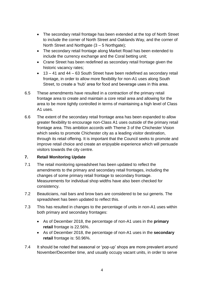- The secondary retail frontage has been extended at the top of North Street to include the corner of North Street and Oaklands Way, and the corner of North Street and Northgate (3 – 5 Northgate);
- The secondary retail frontage along Market Road has been extended to include the currency exchange and the Coral betting unit;
- Crane Street has been redefined as secondary retail frontage given the historic vacancy rates;
- 13 41 and 44 63 South Street have been redefined as secondary retail frontage, in order to allow more flexibility for non-A1 uses along South Street, to create a 'hub' area for food and beverage uses in this area.
- 6.5 These amendments have resulted in a contraction of the primary retail frontage area to create and maintain a core retail area and allowing for the area to be more tightly controlled in terms of maintaining a high level of Class A1 uses.
- 6.6 The extent of the secondary retail frontage area has been expanded to allow greater flexibility to encourage non-Class A1 uses outside of the primary retail frontage area. This ambition accords with Theme 3 of the Chichester Vision which seeks to promote Chichester city as a leading visitor destination, through its retail offering. It is important that the Council seeks to promote and improve retail choice and create an enjoyable experience which will persuade visitors towards the city centre.

#### **7. Retail Monitoring Update**

- 7.1 The retail monitoring spreadsheet has been updated to reflect the amendments to the primary and secondary retail frontages, including the changes of some primary retail frontage to secondary frontage. Measurements for individual shop widths have also been checked for consistency.
- 7.2 Beauticians, nail bars and brow bars are considered to be sui generis. The spreadsheet has been updated to reflect this.
- 7.3 This has resulted in changes to the percentage of units in non-A1 uses within both primary and secondary frontages:
	- As of December 2018, the percentage of non-A1 uses in the **primary retail** frontage is 22.56%.
	- As of December 2018, the percentage of non-A1 uses in the **secondary retail** frontage is: 50.96%.
- 7.4 It should be noted that seasonal or 'pop-up' shops are more prevalent around November/December time, and usually occupy vacant units, in order to serve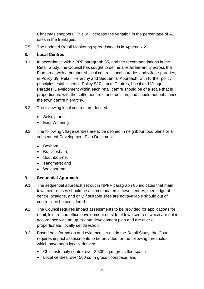Christmas shoppers. This will increase the variation in the percentage of A1 uses in the frontages.

7.5 The updated Retail Monitoring spreadsheet is in Appendix 2.

### **8. Local Centres**

- 8.1 In accordance with NPPF paragraph 85, and the recommendations in the Retail Study, the Council has sought to define a retail hierarchy across the Plan area, with a number of local centres, local parades and village parades, in Policy S9: Retail Hierarchy and Sequential Approach, with further policy principles established in Policy S10: Local Centres, Local and Village Parades. Development within each retail centre should be of a scale that is proportionate with the settlement role and function, and should not unbalance the town centre hierarchy.
- 8.2 The following local centres are defined:
	- Selsey; and
	- East Wittering
- 8.3 The following village centres are to be defined in neighbourhood plans or a subsequent Development Plan Document:
	- Bosham;
	- Bracklesham;
	- Southbourne:
	- Tangmere; and
	- Westbourne.

#### **9. Sequential Approach**

- 9.1 The sequential approach set out in NPPF paragraph 86 indicates that main town centre uses should be accommodated in town centres, then edge of centre locations, and only if suitable sites are not available should out of centre sites be considered.
- 9.2 The Council requires impact assessments to be provided for applications for retail, leisure and office development outside of town centres, which are not in accordance with an up-to-date development plan and are over a proportionate, locally set threshold.
- 9.3 Based on information and evidence set out in the Retail Study, the Council requires impact assessments to be provided for the following thresholds, which have been locally-derived:
	- Chichester city centre: over 2,500 sq.m gross floorspace;
	- Local centres: over 500 sq.m gross floorspace; and